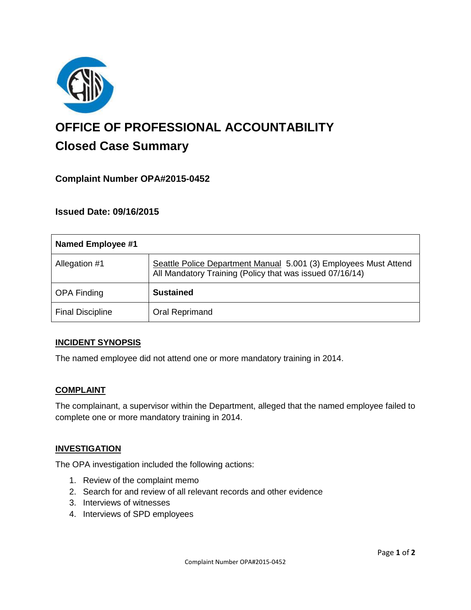

# **OFFICE OF PROFESSIONAL ACCOUNTABILITY Closed Case Summary**

# **Complaint Number OPA#2015-0452**

## **Issued Date: 09/16/2015**

| <b>Named Employee #1</b> |                                                                                                                              |
|--------------------------|------------------------------------------------------------------------------------------------------------------------------|
| Allegation #1            | Seattle Police Department Manual 5.001 (3) Employees Must Attend<br>All Mandatory Training (Policy that was issued 07/16/14) |
| <b>OPA Finding</b>       | <b>Sustained</b>                                                                                                             |
| <b>Final Discipline</b>  | Oral Reprimand                                                                                                               |

#### **INCIDENT SYNOPSIS**

The named employee did not attend one or more mandatory training in 2014.

#### **COMPLAINT**

The complainant, a supervisor within the Department, alleged that the named employee failed to complete one or more mandatory training in 2014.

#### **INVESTIGATION**

The OPA investigation included the following actions:

- 1. Review of the complaint memo
- 2. Search for and review of all relevant records and other evidence
- 3. Interviews of witnesses
- 4. Interviews of SPD employees